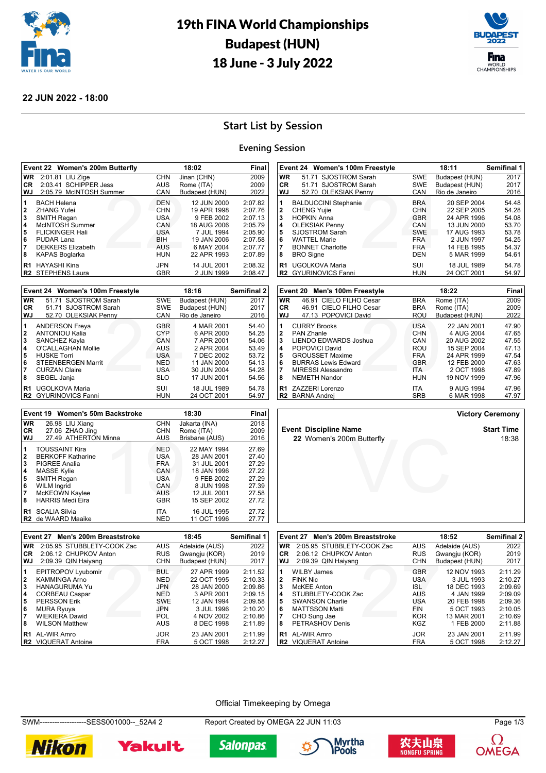

## 19th FINA World Championships Budapest (HUN) 18 June - 3 July 2022



#### **22 JUN 2022 - 18:00**

### **Start List by Session**

#### **Evening Session**

| Event 22 Women's 200m Butterfly                 |                                                                                                                                                                         |                                                                                         | Final                                                                                                             |                                                                                      |
|-------------------------------------------------|-------------------------------------------------------------------------------------------------------------------------------------------------------------------------|-----------------------------------------------------------------------------------------|-------------------------------------------------------------------------------------------------------------------|--------------------------------------------------------------------------------------|
| <b>WR</b>                                       | 2:01.81 LIU Zige                                                                                                                                                        | <b>CHN</b>                                                                              | Jinan (CHN)                                                                                                       | 2009                                                                                 |
| CR.                                             | 2:03.41 SCHIPPER Jess                                                                                                                                                   | <b>AUS</b>                                                                              | Rome (ITA)                                                                                                        | 2009                                                                                 |
| <b>WJ</b>                                       | 2:05.79 McINTOSH Summer                                                                                                                                                 | CAN                                                                                     | Budapest (HUN)                                                                                                    | 2022                                                                                 |
| 1<br>$\mathbf{2}$<br>3<br>4<br>5<br>6<br>7<br>8 | <b>BACH Helena</b><br><b>ZHANG Yufei</b><br><b>SMITH Regan</b><br>McINTOSH Summer<br><b>FLICKINGER Hali</b><br>PUDAR Lana<br><b>DEKKERS Elizabeth</b><br>KAPAS Boglarka | <b>DEN</b><br><b>CHN</b><br>USA<br>CAN<br><b>USA</b><br><b>BIH</b><br>AUS<br><b>HUN</b> | 12 JUN 2000<br>19 APR 1998<br>9 FEB 2002<br>18 AUG 2006<br>7 JUL 1994<br>19 JAN 2006<br>6 MAY 2004<br>22 APR 1993 | 2:07.82<br>2:07.76<br>2:07.13<br>2:05.79<br>2:05.90<br>2:07.58<br>2:07.77<br>2:07.89 |
| R <sub>1</sub>                                  | HAYASHI Kina<br>R <sub>2</sub> STEPHENS Laura                                                                                                                           | <b>JPN</b><br><b>GBR</b>                                                                | 14 JUL 2001<br>2 JUN 1999                                                                                         | 2:08.32<br>2:08.47                                                                   |

|           | Event 24 Women's 100m Freestyle               |            | 18:16                      | <b>Semifinal 2</b> |
|-----------|-----------------------------------------------|------------|----------------------------|--------------------|
| <b>WR</b> | 51.71 SJOSTROM Sarah                          | <b>SWE</b> | Budapest (HUN)             | 2017               |
| CR.       | 51.71 SJOSTROM Sarah                          | <b>SWE</b> | Budapest (HUN)             | 2017               |
| WJ        | 52.70 OLEKSIAK Penny                          | CAN        | Rio de Janeiro             | 2016               |
| 1         | <b>ANDERSON Freya</b>                         | <b>GBR</b> | 4 MAR 2001                 | 54.40              |
| 2         | <b>ANTONIOU Kalia</b>                         | <b>CYP</b> | 6 APR 2000                 | 54.25              |
| 3         | SANCHEZ Kayla                                 | CAN        | 7 APR 2001                 | 54.06              |
| 4         | O'CALLAGHAN Mollie                            | AUS        | 2 APR 2004                 | 53.49              |
| 5         | <b>HUSKE Torri</b>                            | <b>USA</b> | 7 DEC 2002                 | 53.72              |
| 6         | <b>STEENBERGEN Marrit</b>                     | <b>NED</b> | 11 JAN 2000                | 54.13              |
| 7         | <b>CURZAN Claire</b>                          | USA        | 30 JUN 2004                | 54.28              |
| 8         | SEGEL Janja                                   | <b>SLO</b> | 17 JUN 2001                | 54.56              |
| R1        | UGOLKOVA Maria<br><b>R2</b> GYURINOVICS Fanni | SUI<br>HUN | 18 JUL 1989<br>24 OCT 2001 | 54.78<br>54.97     |

|              | Event 24 Women's 100m Freestyle |            | Semifinal 1    |       |
|--------------|---------------------------------|------------|----------------|-------|
| <b>WR</b>    | 51.71 SJOSTROM Sarah            | SWE        | Budapest (HUN) | 2017  |
| <b>CR</b>    | 51.71 SJOSTROM Sarah            | <b>SWE</b> | Budapest (HUN) | 2017  |
| WJ           | 52.70 OLEKSIAK Penny            | CAN        | Rio de Janeiro | 2016  |
| 1            | <b>BALDUCCINI Stephanie</b>     | <b>BRA</b> | 20 SEP 2004    | 54.48 |
| $\mathbf{2}$ | <b>CHENG Yujie</b>              | <b>CHN</b> | 22 SEP 2005    | 54.28 |
| 3            | <b>HOPKIN Anna</b>              | <b>GBR</b> | 24 APR 1996    | 54.08 |
| 4            | <b>OLEKSIAK Penny</b>           | CAN        | 13 JUN 2000    | 53.70 |
| 5            | <b>SJOSTROM Sarah</b>           | <b>SWE</b> | 17 AUG 1993    | 53.78 |
| 6            | <b>WATTEL Marie</b>             | <b>FRA</b> | 2 JUN 1997     | 54.25 |
| 7            | <b>BONNET Charlotte</b>         | <b>FRA</b> | 14 FEB 1995    | 54.37 |
| 8            | <b>BRO</b> Signe                | DEN        | 5 MAR 1999     | 54.61 |
| R1           | <b>UGOLKOVA Maria</b>           | SUI        | 18 JUL 1989    | 54.78 |
|              | R2 GYURINOVICS Fanni            | HUN        | 24 OCT 2001    | 54.97 |

|                | Men's 100m Freestyle<br>Event 20         |                   | Final                     |                |
|----------------|------------------------------------------|-------------------|---------------------------|----------------|
| <b>WR</b>      | 46.91 CIELO FILHO Cesar                  | <b>BRA</b>        | Rome (ITA)                | 2009           |
| CR.            | 46.91 CIELO FILHO Cesar                  | <b>BRA</b>        | Rome (ITA)                | 2009           |
| <b>WJ</b>      | 47.13 POPOVICI David                     | ROU               | Budapest (HUN)            | 2022           |
| 1<br>2         | <b>CURRY Brooks</b><br><b>PAN Zhanle</b> | USA<br><b>CHN</b> | 22 JAN 2001<br>4 AUG 2004 | 47.90<br>47.65 |
| 3              | <b>LIENDO EDWARDS Joshua</b>             | CAN               | 20 AUG 2002               | 47.55          |
| 4              | POPOVICI David                           | ROU               | 15 SEP 2004               | 47.13          |
| 5              | <b>GROUSSET Maxime</b>                   | <b>FRA</b>        | 24 APR 1999               | 47.54          |
| 6              | <b>BURRAS Lewis Edward</b>               | <b>GBR</b>        | 12 FEB 2000               | 47.63          |
| 7              | <b>MIRESSI Alessandro</b>                | <b>ITA</b>        | 2 OCT 1998                | 47.89          |
| 8              | <b>NEMETH Nandor</b>                     | HUN               | 19 NOV 1999               | 47.96          |
| R1             | ZAZZERI Lorenzo                          | <b>ITA</b>        | 9 AUG 1994                | 47.96          |
| R <sub>2</sub> | <b>BARNA Andrei</b>                      | <b>SRB</b>        | 6 MAR 1998                | 47.97          |

m Butterfly<br>
Version of the state of the state of the state of the state of the state of the state of the state of the state of the state of the state of the state of the state of the state of the state of the state of the

|  | <b>Victory Ceremony</b> |
|--|-------------------------|
|--|-------------------------|

**Event Discipline Name Start Time**<br>22 Women's 200m Butterfly **Start Time Start Time** 

|                                                 | Event 19 Women's 50m Backstroke                                                                                                                                                          |                                                                                                | 18:30                                                                                                              | Final                                                                |
|-------------------------------------------------|------------------------------------------------------------------------------------------------------------------------------------------------------------------------------------------|------------------------------------------------------------------------------------------------|--------------------------------------------------------------------------------------------------------------------|----------------------------------------------------------------------|
| <b>WR</b>                                       | 26.98 LIU Xiang                                                                                                                                                                          | <b>CHN</b>                                                                                     | Jakarta (INA)                                                                                                      | 2018                                                                 |
| CR                                              | 27.06 ZHAO Jing                                                                                                                                                                          | <b>CHN</b>                                                                                     | Rome (ITA)                                                                                                         | 2009                                                                 |
| WJ                                              | 27.49 ATHERTON Minna                                                                                                                                                                     | <b>AUS</b>                                                                                     | Brisbane (AUS)                                                                                                     | 2016                                                                 |
| 1<br>$\mathbf{2}$<br>3<br>4<br>5<br>6<br>7<br>8 | <b>TOUSSAINT Kira</b><br><b>BERKOFF Katharine</b><br><b>PIGREE Analia</b><br><b>MASSE Kylie</b><br><b>SMITH Regan</b><br><b>WILM Ingrid</b><br>McKEOWN Kaylee<br><b>HARRIS Medi Eira</b> | <b>NED</b><br><b>USA</b><br><b>FRA</b><br>CAN<br><b>USA</b><br>CAN<br><b>AUS</b><br><b>GBR</b> | 22 MAY 1994<br>28 JAN 2001<br>31 JUL 2001<br>18 JAN 1996<br>9 FEB 2002<br>8 JUN 1998<br>12 JUL 2001<br>15 SEP 2002 | 27.69<br>27.40<br>27.29<br>27.22<br>27.29<br>27.39<br>27.58<br>27.72 |
| R1                                              | <b>SCALIA Silvia</b><br><b>R2</b> de WAARD Maaike                                                                                                                                        | <b>ITA</b><br><b>NED</b>                                                                       | 16 JUL 1995<br>11 OCT 1996                                                                                         | 27.72<br>27.77                                                       |

CHN<br>BUL<br>JPN<br>JPN<br>SWE<br>JPN<br>POL<br>AUS

**6** MURA Ryuya **1996 2:10.20**<br>**16** MURA Ryuya JPN 3 JUL 1996 2:10.20<br>**7** WIEKIERA Dawid **1996 2:10.80 7** WIEKIERA Dawid POL 4 NOV 2002 2:10.86

**R1** AL-WIR Amro **CONTACT ACCOMPT ACCOMPT AL-WIR AL-WIR ACCORD ACCORD ACCORD ACCORD ACCORD ACCORD ACCORD ACCORD A<br>R2 VIQUERAT Antoine <b>CONTACT ACCORD ACCORD ACCORD ACCORD ACCORD ACCORD ACCORD ACCORD ACCORD ACCORD ACCORD AC** 

**1** EPITROPOV Lyubomir BUL 27 APR 1999 2:11.52 **2** KAMMINGA Arno NED 22 OCT 1995 2:10.33 **3** HANAGURUMA Yu JPN 28 JAN 2000 2:09.86

**Event 27 Men's 200m Breaststroke 18:45 Semifinal 1 WR** 2:05.95 STUBBLETY-COOK Zac AUS Adelaide (AUS) 2022 **CR** 2:06.12 CHUPKOV Anton RUS Gwangju (KOR) 2019<br> **WJ** 2:09.39 QIN Haiyang CHN Budapest (HUN) 2017

|                | Event 27 Men's 200m Breaststroke        |            | 18:52          | <b>Semifinal 2</b> |
|----------------|-----------------------------------------|------------|----------------|--------------------|
|                | 2:05.95 STUBBLETY-COOK Zac<br><b>WR</b> | <b>AUS</b> | Adelaide (AUS) | 2022               |
|                | CR.<br>2:06.12 CHUPKOV Anton            | <b>RUS</b> | Gwangju (KOR)  | 2019               |
|                | WJ<br>2:09.39 QIN Haiyang               | <b>CHN</b> | Budapest (HUN) | 2017               |
| 1              | <b>WILBY James</b>                      | <b>GBR</b> | 12 NOV 1993    | 2:11.29            |
| 2              | <b>FINK Nic</b>                         | <b>USA</b> | 3 JUL 1993     | 2:10.27            |
| 3              | <b>McKEE Anton</b>                      | ISL.       | 18 DEC 1993    | 2:09.69            |
| 4              | STUBBLETY-COOK Zac                      | <b>AUS</b> | 4 JAN 1999     | 2:09.09            |
| 5              | <b>SWANSON Charlie</b>                  | <b>USA</b> | 20 FEB 1998    | 2:09.36            |
| 6              | <b>MATTSSON Matti</b>                   | <b>FIN</b> | 5 OCT 1993     | 2:10.05            |
| 7              | CHO Sung Jae                            | <b>KOR</b> | 13 MAR 2001    | 2:10.69            |
| 8              | PETRASHOV Denis                         | KGZ        | 1 FEB 2000     | 2:11.88            |
| R <sub>1</sub> | AL-WIR Amro                             | <b>JOR</b> | 23 JAN 2001    | 2:11.99            |
|                | <b>VIQUERAT Antoine</b><br>R2           | <b>FRA</b> | 5 OCT 1998     | 2:12.27            |

#### Official Timekeeping by Omega

**4** CORBEAU Caspar **1999 2:09.15 APP 2:09.15 APP 2:09.15 APP 3:09.15 APP 3:09.15 APP 3:09.15 APP 3:09.15 APP 3:09.15 APP 3:09.15 APP 3:09.15 APP 3:09.15 APP 3:09.15 APP 3:09.15 APP 3:09.15 APP 3:09.15 APP 3:09.15 APP 3:09.** 

SWM-------------------SESS001000--\_52A4 2 Report Created by OMEGA 22 JUN 11:03 Page 1/3



2:09.39 QIN Haiyang

**WILSON Matthew** 

**R2** VIQUERAT Antoine





**5** PERSSON Erik SWE 12 JAN 1994 2:09.58



**22** Women's 200m Butterfly



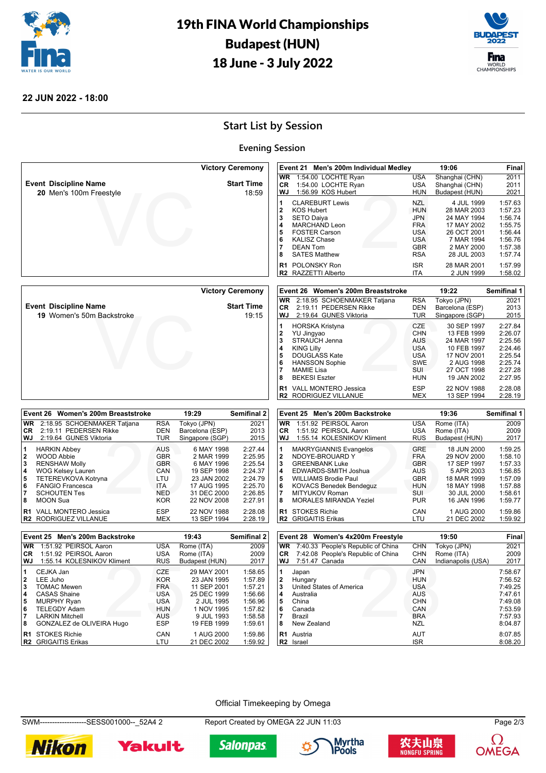

# 19th FINA World Championships Budapest (HUN) 18 June - 3 July 2022



#### **22 JUN 2022 - 18:00**

## **Start List by Session**

### **Evening Session**

|                 |                                                |                          |                            | <b>Victory Ceremony</b> |                     | Event 21 Men's 200m Individual Medley            |                          | 19:06                      | Final              |
|-----------------|------------------------------------------------|--------------------------|----------------------------|-------------------------|---------------------|--------------------------------------------------|--------------------------|----------------------------|--------------------|
|                 |                                                |                          |                            |                         | <b>WR</b>           | 1:54.00 LOCHTE Ryan                              | USA                      | Shanghai (CHN)             | 2011               |
|                 | <b>Event Discipline Name</b>                   |                          |                            | <b>Start Time</b>       | <b>CR</b>           | 1:54.00 LOCHTE Ryan                              | <b>USA</b>               | Shanghai (CHN)             | 2011               |
|                 | 20 Men's 100m Freestyle                        |                          |                            | 18:59                   | WJ                  | 1:56.99 KOS Hubert                               | <b>HUN</b>               | Budapest (HUN)             | 2021               |
|                 |                                                |                          |                            |                         | 1                   | <b>CLAREBURT Lewis</b>                           | <b>NZL</b>               | 4 JUL 1999                 | 1:57.63            |
|                 |                                                |                          |                            |                         | $\bf{2}$            | <b>KOS Hubert</b>                                | <b>HUN</b>               | 28 MAR 2003                | 1:57.23            |
|                 |                                                |                          |                            |                         | 3                   | <b>SETO Daiya</b>                                | <b>JPN</b>               | 24 MAY 1994                | 1:56.74            |
|                 |                                                |                          |                            |                         | 4                   | <b>MARCHAND Leon</b>                             | <b>FRA</b>               | 17 MAY 2002                | 1:55.75            |
|                 |                                                |                          |                            |                         | 5                   | <b>FOSTER Carson</b>                             | <b>USA</b>               | 26 OCT 2001                | 1:56.44            |
|                 |                                                |                          |                            |                         | 6                   | <b>KALISZ Chase</b>                              | <b>USA</b>               | 7 MAR 1994                 | 1:56.76            |
|                 |                                                |                          |                            |                         | 7                   | <b>DEAN Tom</b>                                  | <b>GBR</b>               | 2 MAY 2000                 | 1:57.38            |
|                 |                                                |                          |                            |                         | 8                   | <b>SATES Matthew</b>                             | <b>RSA</b>               | 28 JUL 2003                | 1:57.74            |
|                 |                                                |                          |                            |                         | R1                  | <b>POLONSKY Ron</b>                              | <b>ISR</b>               | 28 MAR 2001                | 1:57.99            |
|                 |                                                |                          |                            |                         |                     | R2 RAZZETTI Alberto                              | <b>ITA</b>               | 2 JUN 1999                 | 1:58.02            |
|                 |                                                |                          |                            |                         |                     |                                                  |                          |                            |                    |
|                 |                                                |                          |                            | <b>Victory Ceremony</b> |                     | Event 26 Women's 200m Breaststroke               |                          | 19:22                      | Semifinal 1        |
|                 |                                                |                          |                            |                         | <b>WR</b>           | 2:18.95 SCHOENMAKER Tatjana                      | <b>RSA</b>               | Tokyo (JPN)                | 2021               |
|                 | <b>Event Discipline Name</b>                   |                          |                            | <b>Start Time</b>       | CR                  | 2:19.11 PEDERSEN Rikke                           | <b>DEN</b>               | Barcelona (ESP)            | 2013               |
|                 | 19 Women's 50m Backstroke                      |                          |                            | 19:15                   |                     | WJ 2:19.64 GUNES Viktoria                        | TUR                      | Singapore (SGP)            | 2015               |
|                 |                                                |                          |                            |                         | 1                   | <b>HORSKA Kristyna</b>                           | <b>CZE</b>               | 30 SEP 1997                | 2:27.84            |
|                 |                                                |                          |                            |                         | $\mathbf 2$         | YU Jingyao                                       | <b>CHN</b>               | 13 FEB 1999                | 2:26.07            |
|                 |                                                |                          |                            |                         | 3                   | STRAUCH Jenna                                    | <b>AUS</b>               | 24 MAR 1997                | 2:25.56            |
|                 |                                                |                          |                            |                         | 4                   | <b>KING Lilly</b>                                | <b>USA</b>               | 10 FEB 1997                | 2:24.46            |
|                 |                                                |                          |                            |                         | 5                   | DOUGLASS Kate                                    | <b>USA</b>               | 17 NOV 2001                | 2:25.54            |
|                 |                                                |                          |                            |                         | 6                   | <b>HANSSON Sophie</b>                            | <b>SWE</b>               | 2 AUG 1998                 | 2:25.74            |
|                 |                                                |                          |                            |                         | $\overline{7}$      | <b>MAMIE Lisa</b>                                | <b>SUI</b>               | 27 OCT 1998                | 2:27.28            |
|                 |                                                |                          |                            |                         | 8                   | <b>BEKESI Eszter</b>                             | <b>HUN</b>               | 19 JAN 2002                | 2:27.95            |
|                 |                                                |                          |                            |                         |                     | <b>VALL MONTERO Jessica</b>                      | <b>ESP</b>               |                            |                    |
|                 |                                                |                          |                            |                         | R1                  | R2 RODRIGUEZ VILLANUE                            | <b>MEX</b>               | 22 NOV 1988<br>13 SEP 1994 | 2:28.08<br>2:28.19 |
|                 |                                                |                          |                            |                         |                     |                                                  |                          |                            |                    |
|                 |                                                |                          |                            |                         |                     |                                                  |                          |                            |                    |
|                 | Event 26 Women's 200m Breaststroke             |                          | 19:29                      | Semifinal 2             |                     | Event 25 Men's 200m Backstroke                   |                          | 19:36                      | Semifinal 1        |
|                 |                                                |                          |                            |                         |                     |                                                  |                          |                            |                    |
| <b>WR</b>       | 2:18.95 SCHOENMAKER Tatjana                    | <b>RSA</b>               | Tokyo (JPN)                | 2021                    | <b>WR</b>           | 1:51.92 PEIRSOL Aaron                            | <b>USA</b>               | Rome (ITA)                 | 2009               |
| <b>CR</b><br>WJ | 2:19.11 PEDERSEN Rikke                         | <b>DEN</b><br><b>TUR</b> | Barcelona (ESP)            | 2013                    | <b>CR</b><br>WJ     | 1:51.92 PEIRSOL Aaron                            | <b>USA</b>               | Rome (ITA)                 | 2009               |
|                 | 2:19.64 GUNES Viktoria                         |                          | Singapore (SGP)            | 2015                    |                     | 1:55.14 KOLESNIKOV Kliment                       | <b>RUS</b>               | Budapest (HUN)             | 2017               |
| 1               | <b>HARKIN Abbey</b>                            | <b>AUS</b>               | 6 MAY 1998                 | 2:27.44                 | 1                   | <b>MAKRYGIANNIS Evangelos</b>                    | <b>GRE</b>               | 18 JUN 2000                | 1:59.25            |
| 2               | <b>WOOD Abbie</b>                              | <b>GBR</b>               | 2 MAR 1999                 | 2:25.95                 | 2                   | NDOYE-BROUARD Y                                  | <b>FRA</b>               | 29 NOV 2000                | 1:58.10            |
| 3               | <b>RENSHAW Molly</b>                           | <b>GBR</b>               | 6 MAY 1996                 | 2:25.54                 | 3                   | <b>GREENBANK Luke</b>                            | <b>GBR</b>               | 17 SEP 1997                | 1:57.33            |
| 4               | <b>WOG Kelsey Lauren</b>                       | CAN                      | 19 SEP 1998                | 2:24.37                 | 4                   | EDWARDS-SMITH Joshua                             | <b>AUS</b>               | 5 APR 2003                 | 1:56.85            |
| 5               | TETEREVKOVA Kotryna                            | LTU                      | 23 JAN 2002                | 2:24.79                 | 5                   | <b>WILLIAMS Brodie Paul</b>                      | <b>GBR</b>               | 18 MAR 1999                | 1:57.09            |
| 6<br>17         | <b>FANGIO Francesca</b><br><b>SCHOUTEN Tes</b> | ITA.<br><b>NED</b>       | 17 AUG 1995<br>31 DEC 2000 | 2:25.70<br>2:26.85      | 6<br>$\overline{7}$ | <b>KOVACS Benedek Bendeguz</b><br>MITYUKOV Roman | <b>HUN</b><br><b>SUI</b> | 18 MAY 1998<br>30 JUL 2000 | 1:57.88<br>1:58.61 |
| 8               | <b>MOON Sua</b>                                | <b>KOR</b>               | 22 NOV 2008                | 2:27.91                 | 8                   | <b>MORALES MIRANDA Yeziel</b>                    | <b>PUR</b>               | 16 JAN 1996                | 1:59.77            |
|                 |                                                |                          |                            |                         |                     |                                                  |                          |                            |                    |
| R1              | VALL MONTERO Jessica                           | <b>ESP</b>               | 22 NOV 1988                | 2:28.08                 |                     | R1 STOKES Richie                                 | CAN                      | 1 AUG 2000                 | 1:59.86            |
|                 | R2 RODRIGUEZ VILLANUE                          | <b>MEX</b>               | 13 SEP 1994                | 2:28.19                 |                     | R2 GRIGAITIS Erikas                              | LTU                      | 21 DEC 2002                | 1:59.92            |
|                 | Event 25 Men's 200m Backstroke                 |                          | 19:43                      | Semifinal 2             |                     | Event 28 Women's 4x200m Freestyle                |                          | 19:50                      | Final              |
| <b>WR</b>       | 1:51.92 PEIRSOL Aaron                          | <b>USA</b>               | Rome (ITA)                 | 2009                    | <b>WR</b>           | 7:40.33 People's Republic of China               | <b>CHN</b>               | Tokyo (JPN)                | 2021               |
| CR              | 1:51.92 PEIRSOL Aaron                          | <b>USA</b>               | Rome (ITA)                 | 2009                    | CR                  | 7:42.08 People's Republic of China               | <b>CHN</b>               | Rome (ITA)                 | 2009               |
| WJ              | 1:55.14 KOLESNIKOV Kliment                     | <b>RUS</b>               | Budapest (HUN)             | 2017                    | WJ                  | 7:51.47 Canada                                   | CAN                      | Indianapolis (USA)         | 2017               |
|                 |                                                |                          |                            |                         |                     |                                                  |                          |                            |                    |
|                 | CEJKA Jan                                      | CZE                      | 29 MAY 2001                | 1:58.65                 |                     | Japan                                            | <b>JPN</b>               |                            | 7:58.67            |
| 2               | LEE Juho                                       | <b>KOR</b>               | 23 JAN 1995                | 1:57.89                 | 2                   | Hungary                                          | <b>HUN</b>               |                            | 7:56.52            |
| 3<br>14         | <b>TOMAC Mewen</b><br><b>CASAS Shaine</b>      | <b>FRA</b><br><b>USA</b> | 11 SEP 2001<br>25 DEC 1999 | 1:57.21<br>1:56.66      | 3<br>4              | United States of America<br>Australia            | <b>USA</b><br><b>AUS</b> |                            | 7:49.25<br>7:47.61 |
| 5               | <b>MURPHY Ryan</b>                             | <b>USA</b>               | 2 JUL 1995                 | 1:56.96                 | 5                   | China                                            | <b>CHN</b>               |                            | 7:49.08            |
| 6               | <b>TELEGDY Adam</b>                            | <b>HUN</b>               | 1 NOV 1995                 | 1:57.82                 | 6                   | Canada                                           | CAN                      |                            | 7:53.59            |
| 17              | <b>LARKIN Mitchell</b>                         | <b>AUS</b>               | 9 JUL 1993                 | 1:58.58                 | 7                   | Brazil                                           | <b>BRA</b>               |                            | 7:57.93            |
| 8               | GONZALEZ de OLIVEIRA Hugo                      | <b>ESP</b>               | 19 FEB 1999                | 1:59.61                 | 8                   | New Zealand                                      | <b>NZL</b>               |                            | 8:04.87            |
|                 |                                                |                          |                            |                         |                     |                                                  |                          |                            |                    |
|                 | R1 STOKES Richie<br>R2 GRIGAITIS Erikas        | CAN<br>LTU               | 1 AUG 2000<br>21 DEC 2002  | 1:59.86<br>1:59.92      |                     | R1 Austria<br>R <sub>2</sub> Israel              | <b>AUT</b><br>ISR.       |                            | 8:07.85<br>8:08.20 |

Official Timekeeping by Omega

SWM-------------------SESS001000--\_52A4 2 Report Created by OMEGA 22 JUN 11:03 Page 2/3



Yakult